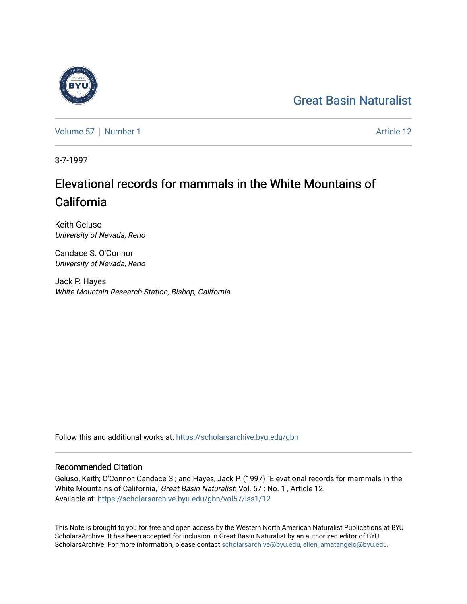#### [Great Basin Naturalist](https://scholarsarchive.byu.edu/gbn)

[Volume 57](https://scholarsarchive.byu.edu/gbn/vol57) | [Number 1](https://scholarsarchive.byu.edu/gbn/vol57/iss1) Article 12

3-7-1997

### Elevational records for mammals in the White Mountains of California

Keith Geluso University of Nevada, Reno

Candace S. O'Connor University of Nevada, Reno

Jack P. Hayes White Mountain Research Station, Bishop, California

Follow this and additional works at: [https://scholarsarchive.byu.edu/gbn](https://scholarsarchive.byu.edu/gbn?utm_source=scholarsarchive.byu.edu%2Fgbn%2Fvol57%2Fiss1%2F12&utm_medium=PDF&utm_campaign=PDFCoverPages) 

#### Recommended Citation

Geluso, Keith; O'Connor, Candace S.; and Hayes, Jack P. (1997) "Elevational records for mammals in the White Mountains of California," Great Basin Naturalist: Vol. 57 : No. 1, Article 12. Available at: [https://scholarsarchive.byu.edu/gbn/vol57/iss1/12](https://scholarsarchive.byu.edu/gbn/vol57/iss1/12?utm_source=scholarsarchive.byu.edu%2Fgbn%2Fvol57%2Fiss1%2F12&utm_medium=PDF&utm_campaign=PDFCoverPages) 

This Note is brought to you for free and open access by the Western North American Naturalist Publications at BYU ScholarsArchive. It has been accepted for inclusion in Great Basin Naturalist by an authorized editor of BYU ScholarsArchive. For more information, please contact [scholarsarchive@byu.edu, ellen\\_amatangelo@byu.edu.](mailto:scholarsarchive@byu.edu,%20ellen_amatangelo@byu.edu)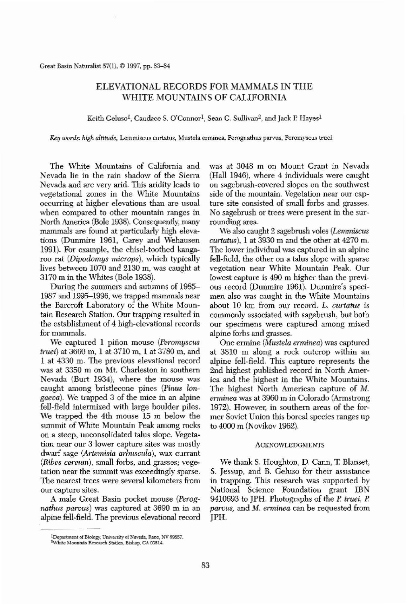**Great Basin Naturalist 57(1), Cl1997, pp. 83-84**

# ELEVATIONAL RECORDS FOR MAMMALS IN THE WHITE MOUNTAINS OF CALIFORNIA

Keith Geluso<sup>1</sup>, Candace S. O'Connor<sup>1</sup>, Sean G. Sullivan<sup>2</sup>, and Jack P. Hayes<sup>1</sup>

*K£y words:* **high** *altitude,* **Lemmiscus curtatus, Mustela erminea, Perognathus parvus, Peromyscus truei.**

The White Mountains of California and Nevada lie in the rain shadow of the Sierra Nevada and are very arid. This aridity leads to vegetational zones in the White Mountains occurring at higher elevations than are usual **when compared to other mountain ranges in** North America (Bole 1938). Consequently, many mammals are found at particularly high elevations (Dunmire 1961, Carey and Wehausen 1991). For example, the chisel-toothed kangaroo rat *(Dipodomys microps),* which typically lives between 1070 and 2130 m, was caught at 3170 m in the Whites (Bole 1938). During the summers and autumns of 1985- 1987 and 1995-1996, we trapped mammals near the Barcroft Laboratory of the White Mountain Research Station. Our trapping resulted in the establishment of 4 high-elevational records **for mammals.** We captured 1 pinon mouse (Peromyscus *truei*) at 3660 m, 1 at 3710 m, 1 at 3780 m, and 1 at 4330 m. The previous elevational record was at 3350 m on Mt. Charleston in southern Nevada (Burt 1934), where the mouse was caught among bristlecone pines (Pinus lon*gaeva).* We trapped 3 of the mice in an alpine fell-field intermixed with large boulder piles. We trapped the 4th mouse 15 m below the summit of White Mountain Peak among rocks on a steep, unconsolidated talus slope. Vegeta**tion near our 3 lower capture sites was mostly** dwarf sage (Artemisia arbuscula), wax currant *(Ribes cereum)*, small forbs, and grasses; vege**tation near the summit was exceedingly sparse. The nearest trees were several kilometers from our capture sites.**

A male Great Basin pocket mouse *(Perognatltus parous)* was captured at 3690 m in an alpine fell-field. The previous elevational record

#### **2\Vhite Mountain Research Station, Bishop, CA 93514.**

was at 3048 m on Mount Grant in Nevada (Hall 1946), where 4 individuals were caught on sagebrush-covered slopes on the southwest side of the mountain. Vegetation near our capture site consisted of small forbs and grasses. No sagebrush or trees were present in the sur**rounding area,**

We also caught 2 sagebrush voles *(Lemmiscus*  $cutatus$ ), 1 at 3930 m and the other at 4270 m. The lower individual was captured in an alpine fell-field, the other on a talus slope with sparse vegetation near White Mountain Peak. Our lowest capture is 490 m higher than the previous record (Dunmire 1961). Dunmire's specimen also was caught in the White Mountains about 10 km from our record. L. *Gurtatus* is commonly associated with sagebrush, but both **our specimens were captured among mixed** alpine forbs and grasses. One ermine *(Mltstela enninea)* was captured at 3810 m along a rock outcrop within an alpine fell-field. This capture represents the 2nd highest published record in North America and the highest in the White Mountains. The highest North American capture of M. erminea was at 3960 m in Colorado (Armstrong 1972). However, in southern areas of the former Soviet Union this boreal species ranges up to 4000 m (Novikov 1962).

## ACKNOWLEDGMENTS

We thank S. Houghton, D. Cann, T. Blanset, S. Jessup, and B. Geluso for their assistance in trapping. This research was supported by National Science Foundation grant IBN 9410693 to JPH. Photographs of the *P. truei*, *P. parous,* and M. *emlinea* can be requested from JPH.

83

**lDepartment ofB,->rogy, Unlyersity** of Nevada, **Reno, NY 89557.**